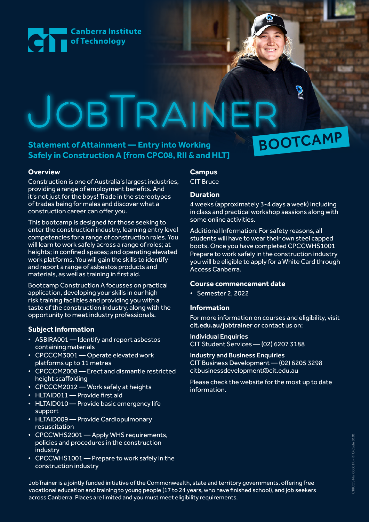

# JOBTRAINE BOOTCAMP

## **Statement of Attainment — Entry into Working Safely in Construction A [from CPC08, RII & and HLT]**

## **Overview**

Construction is one of Australia's largest industries, providing a range of employment benefits. And it's not just for the boys! Trade in the stereotypes of trades being for males and discover what a construction career can offer you.

This bootcamp is designed for those seeking to enter the construction industry, learning entry level competencies for a range of construction roles. You will learn to work safely across a range of roles; at heights; in confined spaces; and operating elevated work platforms. You will gain the skills to identify and report a range of asbestos products and materials, as well as training in first aid.

Bootcamp Construction A focusses on practical application, developing your skills in our high risk training facilities and providing you with a taste of the construction industry, along with the opportunity to meet industry professionals.

## **Subject Information**

- ASBIRA001 Identify and report asbestos containing materials
- CPCCCM3001 Operate elevated work platforms up to 11 metres
- CPCCCM2008 Erect and dismantle restricted height scaffolding
- CPCCCM2012 Work safely at heights
- HLTAID011 Provide first aid
- HLTAID010 Provide basic emergency life support
- HLTAID009 Provide Cardiopulmonary resuscitation
- CPCCWHS2001 Apply WHS requirements, policies and procedures in the construction industry
- CPCCWHS1001 Prepare to work safely in the construction industry

## **Campus**

CIT Bruce

## **Duration**

4 weeks (approximately 3-4 days a week) including in class and practical workshop sessions along with some online activities.

Additional Information: For safety reasons, all students will have to wear their own steel capped boots. Once you have completed CPCCWHS1001 Prepare to work safely in the construction industry you will be eligible to apply for a White Card through Access Canberra.

## **Course commencement date**

• Semester 2, 2022

## **Information**

For more information on courses and eligibility, visit [cit.edu.au/jobtrainer](http://cit.edu.au/jobtrainer) or contact us on:

## Individual Enquiries

CIT Student Services — (02) 6207 3188

## Industry and Business Enquiries

CIT Business Development — (02) 6205 3298 [citbusinessdevelopment@cit.edu.au](mailto:citbusinessdevelopment%40cit.edu.au%20?subject=) 

Please check the website for the most up to date information.

> CRICOS No. 00001K - RTO Code 0101 CRICOS No. 00001K - RTO Code 0101

JobTrainer is a jointly funded initiative of the Commonwealth, state and territory governments, offering free vocational education and training to young people (17 to 24 years, who have finished school), and job seekers across Canberra. Places are limited and you must meet eligibility requirements.